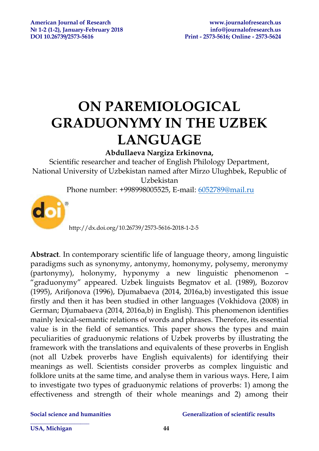# **ON PAREMIOLOGICAL GRADUONYMY IN THE UZBEK LANGUAGE**

### **Abdullaeva Nargiza Erkinovna,**

Scientific researcher and teacher of English Philology Department, National University of Uzbekistan named after Mirzo Ulughbek, Republic of Uzbekistan

Phone number: +998998005525, E-mail: [6052789@mail.ru](mailto:6052789@mail.ru)



http://dx.doi.org/10.26739/2573-5616-2018-1-2-5

**Abstract**. In contemporary scientific life of language theory, among linguistic paradigms such as synonymy, antonymy, homonymy, polysemy, meronymy (partonymy), holonymy, hyponymy a new linguistic phenomenon – "graduonymy" appeared. Uzbek linguists Begmatov et al. (1989), Bozorov (1995), Arifjonova (1996), Djumabaeva (2014, 2016a,b) investigated this issue firstly and then it has been studied in other languages (Vokhidova (2008) in German; Djumabaeva (2014, 2016a,b) in English). This phenomenon identifies mainly lexical-semantic relations of words and phrases. Therefore, its essential value is in the field of semantics. This paper shows the types and main peculiarities of graduonymic relations of Uzbek proverbs by illustrating the framework with the translations and equivalents of these proverbs in English (not all Uzbek proverbs have English equivalents) for identifying their meanings as well. Scientists consider proverbs as complex linguistic and folklore units at the same time, and analyse them in various ways. Here, I aim to investigate two types of graduonymic relations of proverbs: 1) among the effectiveness and strength of their whole meanings and 2) among their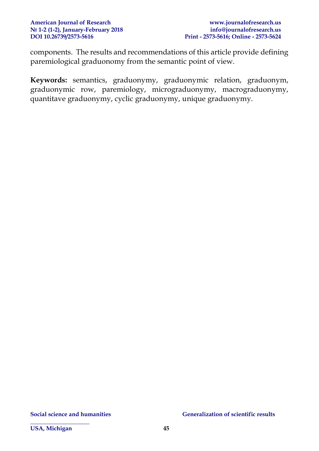components. The results and recommendations of this article provide defining paremiological graduonomy from the semantic point of view.

**Keywords:** semantics, graduonymy, graduonymic relation, graduonym, graduonymic row, paremiology, micrograduonymy, macrograduonymy, quantitave graduonymy, cyclic graduonymy, unique graduonymy.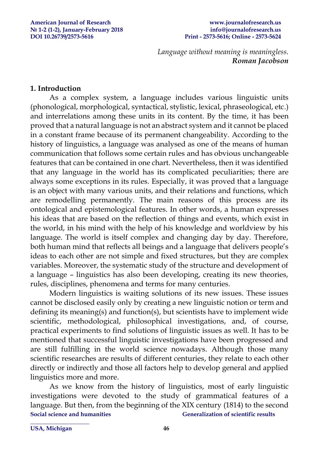#### **American Journal of Research [www.journalofresearch.us](http://www.journalofresearch.us/) № 1-2 (1-2), January-February 2018 [info@journalofresearch.us](mailto:info@journalofresearch.us) DOI 10.26739/2573-5616 Print - 2573-5616; Online - 2573-5624**

*Language without meaning is meaningless. Roman Jacobson*

#### **1. Introduction**

As a complex system, a language includes various linguistic units (phonological, morphological, syntactical, stylistic, lexical, phraseological, etc.) and interrelations among these units in its content. By the time, it has been proved that a natural language is not an abstract system and it cannot be placed in a constant frame because of its permanent changeability. According to the history of linguistics, a language was analysed as one of the means of human communication that follows some certain rules and has obvious unchangeable features that can be contained in one chart. Nevertheless, then it was identified that any language in the world has its complicated peculiarities; there are always some exceptions in its rules. Especially, it was proved that a language is an object with many various units, and their relations and functions, which are remodelling permanently. The main reasons of this process are its ontological and epistemological features. In other words, a human expresses his ideas that are based on the reflection of things and events, which exist in the world, in his mind with the help of his knowledge and worldview by his language. The world is itself complex and changing day by day. Therefore, both human mind that reflects all beings and a language that delivers people's ideas to each other are not simple and fixed structures, but they are complex variables. Moreover, the systematic study of the structure and development of a language – linguistics has also been developing, creating its new theories, rules, disciplines, phenomena and terms for many centuries.

Modern linguistics is waiting solutions of its new issues. These issues cannot be disclosed easily only by creating a new linguistic notion or term and defining its meaning(s) and function(s), but scientists have to implement wide scientific, methodological, philosophical investigations, and, of course, practical experiments to find solutions of linguistic issues as well. It has to be mentioned that successful linguistic investigations have been progressed and are still fulfilling in the world science nowadays. Although those many scientific researches are results of different centuries, they relate to each other directly or indirectly and those all factors help to develop general and applied linguistics more and more.

**Social science and humanities Generalization of scientific results** As we know from the history of linguistics, most of early linguistic investigations were devoted to the study of grammatical features of a language. But then, from the beginning of the XIX century (1814) to the second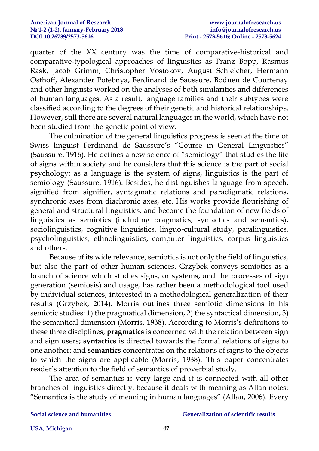quarter of the XX century was the time of comparative-historical and comparative-typological approaches of linguistics as Franz Bopp, Rasmus Rask, Jacob Grimm, Christopher Vostokov, August Schleicher, Hermann Osthoff, Alexander Potebnya, Ferdinand de Saussure, Boduen de Courtenay and other linguists worked on the analyses of both similarities and differences of human languages. As a result, language families and their subtypes were classified according to the degrees of their genetic and historical relationships. However, still there are several natural languages in the world, which have not been studied from the genetic point of view.

 The culmination of the general linguistics progress is seen at the time of Swiss linguist Ferdinand de Saussure's "Course in General Linguistics" (Saussure, 1916). He defines a new science of "semiology" that studies the life of signs within society and he considers that this science is the part of social psychology; as a language is the system of signs, linguistics is the part of semiology (Saussure, 1916). Besides, he distinguishes language from speech, signified from signifier, syntagmatic relations and paradigmatic relations, synchronic axes from diachronic axes, etc. His works provide flourishing of general and structural linguistics, and become the foundation of new fields of linguistics as semiotics (including pragmatics, syntactics and semantics), sociolinguistics, cognitive linguistics, linguo-cultural study, paralinguistics, psycholinguistics, ethnolinguistics, computer linguistics, corpus linguistics and others.

Because of its wide relevance, semiotics is not only the field of linguistics, but also the part of other human sciences. Grzybek conveys semiotics as a branch of science which studies signs, or systems, and the processes of sign generation (semiosis) and usage, has rather been a methodological tool used by individual sciences, interested in a methodological generalization of their results (Grzybek, 2014). Morris outlines three semiotic dimensions in his semiotic studies: 1) the pragmatical dimension, 2) the syntactical dimension, 3) the semantical dimension (Morris, 1938). According to Morris's definitions to these three disciplines, **pragmatics** is concerned with the relation between sign and sign users; **syntactics** is directed towards the formal relations of signs to one another; and **semantics** concentrates on the relations of signs to the objects to which the signs are applicable (Morris, 1938). This paper concentrates reader's attention to the field of semantics of proverbial study.

The area of semantics is very large and it is connected with all other branches of linguistics directly, because it deals with meaning as Allan notes: "Semantics is the study of meaning in human languages" (Allan, 2006). Every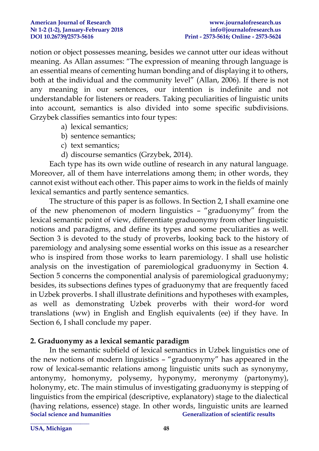notion or object possesses meaning, besides we cannot utter our ideas without meaning. As Allan assumes: "The expression of meaning through language is an essential means of cementing human bonding and of displaying it to others, both at the individual and the community level" (Allan, 2006). If there is not any meaning in our sentences, our intention is indefinite and not understandable for listeners or readers. Taking peculiarities of linguistic units into account, semantics is also divided into some specific subdivisions. Grzybek classifies semantics into four types:

- a) lexical semantics;
- b) sentence semantics;
- c) text semantics;
- d) discourse semantics (Grzybek, 2014).

Each type has its own wide outline of research in any natural language. Moreover, all of them have interrelations among them; in other words, they cannot exist without each other. This paper aims to work in the fields of mainly lexical semantics and partly sentence semantics.

The structure of this paper is as follows. In Section 2, I shall examine one of the new phenomenon of modern linguistics – "graduonymy" from the lexical semantic point of view, differentiate graduonymy from other linguistic notions and paradigms, and define its types and some peculiarities as well. Section 3 is devoted to the study of proverbs, looking back to the history of paremiology and analysing some essential works on this issue as a researcher who is inspired from those works to learn paremiology. I shall use holistic analysis on the investigation of paremiological graduonymy in Section 4. Section 5 concerns the componential analysis of paremiological graduonymy; besides, its subsections defines types of graduonymy that are frequently faced in Uzbek proverbs. I shall illustrate definitions and hypotheses with examples, as well as demonstrating Uzbek proverbs with their word-for word translations (ww) in English and English equivalents (ee) if they have. In Section 6, I shall conclude my paper.

### **2. Graduonymy as a lexical semantic paradigm**

**Social science and humanities Generalization of scientific results \_\_\_\_\_\_\_\_\_\_\_\_\_\_\_\_\_\_\_\_**  In the semantic subfield of lexical semantics in Uzbek linguistics one of the new notions of modern linguistics – "graduonymy" has appeared in the row of lexical-semantic relations among linguistic units such as synonymy, antonymy, homonymy, polysemy, hyponymy, meronymy (partonymy), holonymy, etc. The main stimulus of investigating graduonymy is stepping of linguistics from the empirical (descriptive, explanatory) stage to the dialectical (having relations, essence) stage. In other words, linguistic units are learned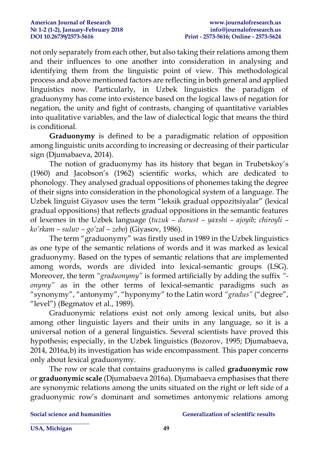not only separately from each other, but also taking their relations among them and their influences to one another into consideration in analysing and identifying them from the linguistic point of view. This methodological process and above mentioned factors are reflecting in both general and applied linguistics now. Particularly, in Uzbek linguistics the paradigm of graduonymy has come into existence based on the logical laws of negation for negation, the unity and fight of contrasts, changing of quantitative variables into qualitative variables, and the law of dialectical logic that means the third is conditional.

**Graduonymy** is defined to be a paradigmatic relation of opposition among linguistic units according to increasing or decreasing of their particular sign (Djumabaeva, 2014).

The notion of graduonymy has its history that began in Trubetskoy's (1960) and Jacobson's (1962) scientific works, which are dedicated to phonology. They analysed gradual oppositions of phonemes taking the degree of their signs into consideration in the phonological system of a language. The Uzbek linguist Giyasov uses the term "leksik gradual oppozitsiyalar" (lexical gradual oppositions) that reflects gradual oppositions in the semantic features of lexemes in the Uzbek language (*tuzuk – durust – yaxshi – ajoyib; chiroyli – ko'rkam – suluv – go'zal – zebo*) (Giyasov, 1986).

The term "graduonymy" was firstly used in 1989 in the Uzbek linguistics as one type of the semantic relations of words and it was marked as lexical graduonymy. Based on the types of semantic relations that are implemented among words, words are divided into lexical-semantic groups (LSG). Moreover, the term *"graduonymy"* is formed artificially by adding the suffix *" onymy"* as in the other terms of lexical-semantic paradigms such as "synonymy", "antonymy", "hyponymy" to the Latin word *"gradus"* ("degree", "level") (Begmatov et al., 1989).

Graduonymic relations exist not only among lexical units, but also among other linguistic layers and their units in any language, so it is a universal notion of a general linguistics. Several scientists have proved this hypothesis; especially, in the Uzbek linguistics (Bozorov, 1995; Djumabaeva, 2014, 2016a,b) its investigation has wide encompassment. This paper concerns only about lexical graduonymy.

The row or scale that contains graduonyms is called **graduonymic row** or **graduonymic scale** (Djumabaeva 2016a). Djumabaeva emphasises that there are synonymic relations among the units situated on the right or left side of a graduonymic row's dominant and sometimes antonymic relations among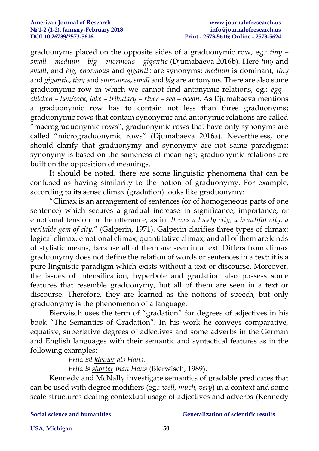graduonyms placed on the opposite sides of a graduonymic row, eg.: *tiny – small – medium – big – enormous – gigantic* (Djumabaeva 2016b). Here *tiny* and *small*, and *big, enormous* and *gigantic* are synonyms; *medium* is dominant, *tiny* and *gigantic*, *tiny* and *enormous*, *small* and *big* are antonyms. There are also some graduonymic row in which we cannot find antonymic relations, eg.: *egg – chicken – hen/cock; lake – tributary – river – sea – ocean.* As Djumabaeva mentions a graduonymic row has to contain not less than three graduonyms; graduonymic rows that contain synonymic and antonymic relations are called "macrograduonymic rows", graduonymic rows that have only synonyms are called "micrograduonymic rows" (Djumabaeva 2016a). Nevertheless, one should clarify that graduonymy and synonymy are not same paradigms: synonymy is based on the sameness of meanings; graduonymic relations are built on the opposition of meanings.

It should be noted, there are some linguistic phenomena that can be confused as having similarity to the notion of graduonymy. For example, according to its sense climax (gradation) looks like graduonymy:

"Climax is an arrangement of sentences (or of homogeneous parts of one sentence) which secures a gradual increase in significance, importance, or emotional tension in the utterance, as in: *It was a lovely city, a beautiful city, a veritable gem of city.*" (Galperin, 1971). Galperin clarifies three types of climax: logical climax, emotional climax, quantitative climax; and all of them are kinds of stylistic means, because all of them are seen in a text. Differs from climax graduonymy does not define the relation of words or sentences in a text; it is a pure linguistic paradigm which exists without a text or discourse. Moreover, the issues of intensification, hyperbole and gradation also possess some features that resemble graduonymy, but all of them are seen in a text or discourse. Therefore, they are learned as the notions of speech, but only graduonymy is the phenomenon of a language.

Bierwisch uses the term of "gradation" for degrees of adjectives in his book "The Semantics of Gradation". In his work he conveys comparative, equative, superlative degrees of adjectives and some adverbs in the German and English languages with their semantic and syntactical features as in the following examples:

*Fritz ist kleiner als Hans.*

*Fritz is shorter than Hans* (Bierwisch, 1989).

Kennedy and McNally investigate semantics of gradable predicates that can be used with degree modifiers (eg.: *well, much, very*) in a context and some scale structures dealing contextual usage of adjectives and adverbs (Kennedy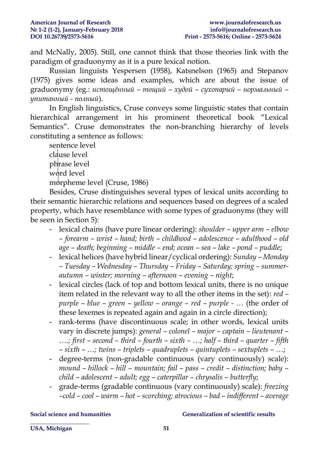and McNally, 2005). Still, one cannot think that those theories link with the paradigm of graduonymy as it is a pure lexical notion.

Russian linguists Yespersen (1958), Katsnelson (1965) and Stepanov (1975) gives some ideas and examples, which are about the issue of graduonymy (eg.: *истощённый – тощий – худой – сухопарый – нормальный – упитанный - полный*).

In English linguistics, Cruse conveys some linguistic states that contain hierarchical arrangement in his prominent theoretical book "Lexical Semantics". Cruse demonstrates the non-branching hierarchy of levels constituting a sentence as follows:

sentence level clause level phrase level word level morpheme level (Cruse, 1986)

Besides, Cruse distinguishes several types of lexical units according to their semantic hierarchic relations and sequences based on degrees of a scaled property, which have resemblance with some types of graduonyms (they will be seen in Section 5):

- lexical chains (have pure linear ordering): *shoulder – upper arm – elbow – forearm – wrist – hand; birth – childhood – adolescence – adulthood – old age – death; beginning – middle – end; ocean – sea – lake – pond – puddle*;
- lexical helices (have hybrid linear/cyclical ordering): *Sunday – Monday – Tuesday – Wednesday – Thursday – Friday – Saturday; spring – summerautumn – winter; morning – afternoon – evening – night*;
- lexical circles (lack of top and bottom lexical units, there is no unique item related in the relevant way to all the other items in the set): *red – purple – blue – green – yellow – orange – red – purple - …* (the order of these lexemes is repeated again and again in a circle direction);
- rank-terms (have discontinuous scale; in other words, lexical units vary in discrete jumps): *general – colonel – major – captain – lieutenant – ….; first – second – third – fourth – sixth – …; half – third – quarter – fifth – sixth – …; twins – triplets – quadruplets – quintuplets – sextuplets – …*;
- degree-terms (non-gradable continuous (vary continuously) scale): *mound – hillock – hill – mountain; fail – pass – credit – distinction; baby – child – adolescent – adult; egg – caterpillar – chrysalis – butterfly*;
- grade-terms (gradable continuous (vary continuously) scale): *freezing –cold – cool – warm – hot – scorching; atrocious – bad – indifferent – average*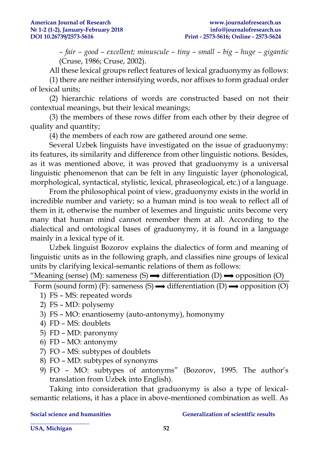*– fair – good – excellent; minuscule – tiny – small – big – huge – gigantic* (Cruse, 1986; Cruse, 2002).

All these lexical groups reflect features of lexical graduonymy as follows:

(1) there are neither intensifying words, nor affixes to form gradual order of lexical units;

(2) hierarchic relations of words are constructed based on not their contextual meanings, but their lexical meanings;

(3) the members of these rows differ from each other by their degree of quality and quantity;

(4) the members of each row are gathered around one seme.

Several Uzbek linguists have investigated on the issue of graduonymy: its features, its similarity and difference from other linguistic notions. Besides, as it was mentioned above, it was proved that graduonymy is a universal linguistic phenomenon that can be felt in any linguistic layer (phonological, morphological, syntactical, stylistic, lexical, phraseological, etc.) of a language.

From the philosophical point of view, graduonymy exists in the world in incredible number and variety; so a human mind is too weak to reflect all of them in it, otherwise the number of lexemes and linguistic units become very many that human mind cannot remember them at all. According to the dialectical and ontological bases of graduonymy, it is found in a language mainly in a lexical type of it.

Uzbek linguist Bozorov explains the dialectics of form and meaning of linguistic units as in the following graph, and classifies nine groups of lexical units by clarifying lexical-semantic relations of them as follows:

"Meaning (sense) (M): sameness (S)  $\rightarrow$  differentiation (D)  $\rightarrow$  opposition (O)

Form (sound form) (F): sameness (S)  $\rightarrow$  differentiation (D)  $\rightarrow$  opposition (O)

- 1) FS MS: repeated words
- 2) FS MD: polysemy
- 3) FS MO: enantiosemy (auto-antonymy), homonymy
- 4) FD MS: doublets
- 5) FD MD: paronymy
- 6) FD MO: antonymy
- 7) FO MS: subtypes of doublets
- 8) FO MD: subtypes of synonyms
- 9) FO MO: subtypes of antonyms" (Bozorov, 1995. The author's translation from Uzbek into English).

Taking into consideration that graduonymy is also a type of lexicalsemantic relations, it has a place in above-mentioned combination as well. As

**\_\_\_\_\_\_\_\_\_\_\_\_\_\_\_\_\_\_\_\_** 

#### **Social science and humanities Generalization of scientific results**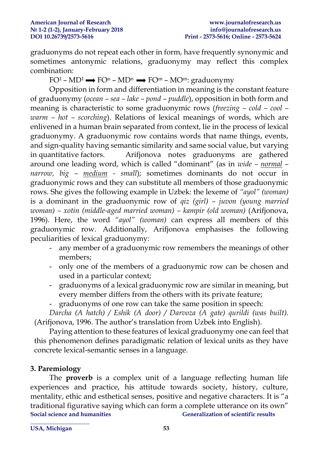graduonyms do not repeat each other in form, have frequently synonymic and sometimes antonymic relations, graduonymy may reflect this complex combination:

 $FO<sup>1</sup> - MD<sup>1</sup> \longrightarrow FO<sup>n</sup> - MD<sup>n</sup> \longrightarrow FO<sup>m</sup> - MO<sup>m</sup>$ : graduonymy

Opposition in form and differentiation in meaning is the constant feature of graduonymy (*ocean – sea – lake – pond – puddle*), opposition in both form and meaning is characteristic to some graduonymic rows (*freezing – cold – cool – warm – hot – scorching*). Relations of lexical meanings of words, which are enlivened in a human brain separated from context, lie in the process of lexical graduonymy. A graduonymic row contains words that name things, events, and sign-quality having semantic similarity and same social value, but varying in quantitative factors. Arifjonova notes graduonyms are gathered around one leading word, which is called "dominant" (as in *wide – normal – narrow, big – medium - small*); sometimes dominants do not occur in graduonymic rows and they can substitute all members of those graduonymic rows. She gives the following example in Uzbek: the lexeme of *"ayol" (woman)* is a dominant in the graduonymic row of *qiz (girl) – juvon (young married woman) – xotin (middle-aged married woman) – kampir (old woman)* (Arifjonova, 1996)*.* Here, the word *"ayol" (woman)* can express all members of this graduonymic row. Additionally, Arifjonova emphasises the following peculiarities of lexical graduonymy:

- any member of a graduonymic row remembers the meanings of other members;
- only one of the members of a graduonymic row can be chosen and used in a particular context;
- graduonyms of a lexical graduonymic row are similar in meaning, but every member differs from the others with its private feature;
- graduonyms of one row can take the same position in speech:

*Darcha (A hatch) / Eshik (A door) / Darvoza (A gate) qurildi (was built).* (Arifjonova, 1996. The author's translation from Uzbek into English).

Paying attention to these features of lexical graduonymy one can feel that this phenomenon defines paradigmatic relation of lexical units as they have concrete lexical-semantic senses in a language.

### **3. Paremiology**

**Social science and humanities Generalization of scientific results \_\_\_\_\_\_\_\_\_\_\_\_\_\_\_\_\_\_\_\_**  The **proverb** is a complex unit of a language reflecting human life experiences and practice, his attitude towards society, history, culture, mentality, ethic and esthetical senses, positive and negative characters. It is "a traditional figurative saying which can form a complete utterance on its own"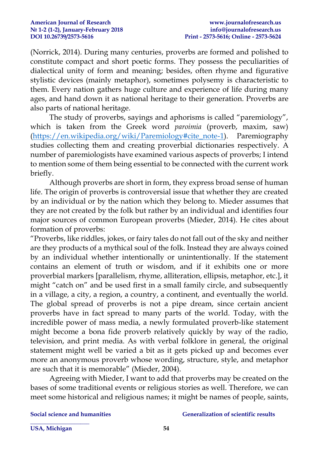(Norrick, 2014). During many centuries, proverbs are formed and polished to constitute compact and short poetic forms. They possess the peculiarities of dialectical unity of form and meaning; besides, often rhyme and figurative stylistic devices (mainly metaphor), sometimes polysemy is characteristic to them. Every nation gathers huge culture and experience of life during many ages, and hand down it as national heritage to their generation. Proverbs are also parts of national heritage.

The study of proverbs, sayings and aphorisms is called "paremiology", which is taken from the Greek word *paroimia* (proverb, maxim, saw) [\(https://en.wikipedia.org/wiki/Paremiology#cite\\_note-1\)](https://en.wikipedia.org/wiki/Paremiology#cite_note-1). Paremiography studies collecting them and creating proverbial dictionaries respectively. A number of paremiologists have examined various aspects of proverbs; I intend to mention some of them being essential to be connected with the current work briefly.

Although proverbs are short in form, they express broad sense of human life. The origin of proverbs is controversial issue that whether they are created by an individual or by the nation which they belong to. Mieder assumes that they are not created by the folk but rather by an individual and identifies four major sources of common European proverbs (Mieder, 2014). He cites about formation of proverbs:

"Proverbs, like riddles, jokes, or fairy tales do not fall out of the sky and neither are they products of a mythical soul of the folk. Instead they are always coined by an individual whether intentionally or unintentionally. If the statement contains an element of truth or wisdom, and if it exhibits one or more proverbial markers [parallelism, rhyme, alliteration, ellipsis, metaphor, etc.], it might "catch on" and be used first in a small family circle, and subsequently in a village, a city, a region, a country, a continent, and eventually the world. The global spread of proverbs is not a pipe dream, since certain ancient proverbs have in fact spread to many parts of the world. Today, with the incredible power of mass media, a newly formulated proverb-like statement might become a bona fide proverb relatively quickly by way of the radio, television, and print media. As with verbal folklore in general, the original statement might well be varied a bit as it gets picked up and becomes ever more an anonymous proverb whose wording, structure, style, and metaphor are such that it is memorable" (Mieder, 2004).

Agreeing with Mieder, I want to add that proverbs may be created on the bases of some traditional events or religious stories as well. Therefore, we can meet some historical and religious names; it might be names of people, saints,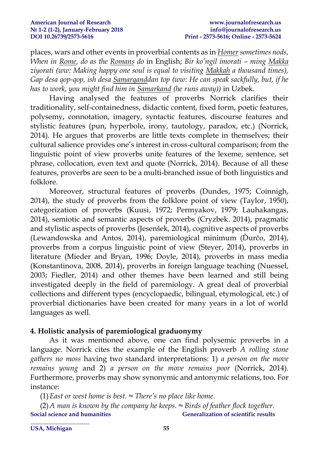places, wars and other events in proverbial contents as in *Homer sometimes nods, When in Rome, do as the Romans do* in English; *Bir ko'ngil imorati – ming Makka ziyorati (ww: Making happy one soul is equal to visiting Makkah a thousand times), Gap desa qop-qop, ish desa Samarqanddan top (ww: He can speak sackfully, but, if he has to work, you might find him in Samarkand (he runs away))* in Uzbek.

Having analysed the features of proverbs Norrick clarifies their traditionality, self-containedness, didactic content, fixed form, poetic features, polysemy, connotation, imagery, syntactic features, discourse features and stylistic features (pun, hyperbole, irony, tautology, paradox, etc.) (Norrick, 2014). He argues that proverbs are little texts complete in themselves; their cultural salience provides one's interest in cross-cultural comparison; from the linguistic point of view proverbs unite features of the lexeme, sentence, set phrase, collocation, even text and quote (Norrick, 2014). Because of all these features, proverbs are seen to be a multi-branched issue of both linguistics and folklore.

Moreover, structural features of proverbs (Dundes, 1975; Coinnigh, 2014), the study of proverbs from the folklore point of view (Taylor, 1950), categorization of proverbs (Kuusi, 1972; Permyakov, 1979; Lauhakangas, 2014), semiotic and semantic aspects of proverbs (Cryzbek. 2014), pragmatic and stylistic aspects of proverbs (Jesenšek, 2014), cognitive aspects of proverbs (Lewandowska and Antos, 2014), paremiological minimum (Ďurčo, 2014), proverbs from a corpus linguistic point of view (Steyer, 2014), proverbs in literature (Mieder and Bryan, 1996; Doyle, 2014), proverbs in mass media (Konstantinova, 2008, 2014), proverbs in foreign language teaching (Nuessel, 2003; Fiedler, 2014) and other themes have been learned and still being investigated deeply in the field of paremiology. A great deal of proverbial collections and different types (encyclopaedic, bilingual, etymological, etc.) of proverbial dictionaries have been created for many years in a lot of world languages as well.

### **4. Holistic analysis of paremiological graduonymy**

As it was mentioned above, one can find polysemic proverbs in a language. Norrick cites the example of the English proverb *A rolling stone gathers no moss* having two standard interpretations: 1) *a person on the move remains young* and 2) *a person on the move remains poor* (Norrick, 2014)*.*  Furthermore, proverbs may show synonymic and antonymic relations, too. For instance:

(1)*East or west home is best. ≈ There's no place like home.*

**Social science and humanities Generalization of scientific results \_\_\_\_\_\_\_\_\_\_\_\_\_\_\_\_\_\_\_\_**  (2)*A man is known by the company he keeps. ≈ Birds of feather flock together.*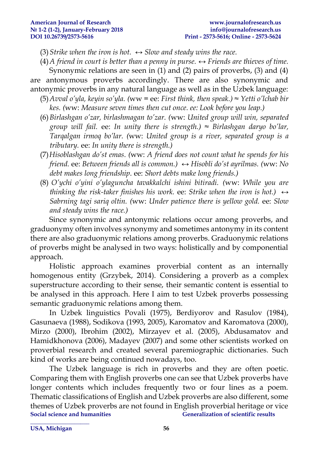- (3) Strike when the iron is hot.  $\leftrightarrow$  *Slow and steady wins the race.*
- (4)*A friend in court is better than a penny in purse. ↔ Friends are thieves of time.*

Synonymic relations are seen in (1) and (2) pairs of proverbs, (3) and (4) are antonymous proverbs accordingly. There are also synonymic and antonymic proverbs in any natural language as well as in the Uzbek language:

- (5)*Avval o'yla, keyin so'yla. (*ww = ee: *First think, then speak.) ≈ Yetti o'lchab bir kes. (*ww: *Measure seven times then cut once. ee: Look before you leap.)*
- (6)*Birlashgan o'zar, birlashmagan to'zar. (*ww: *United group will win, separated group will fail.* ee: *In unity there is strength.) ≈ Birlashgan daryo bo'lar, Tarqalgan irmoq bo'lar. (*ww: *United group is a river, separated group is a tributary.* ee: *In unity there is strength.)*
- (7)*Hisoblashgan do'st emas. (*ww: *A friend does not count what he spends for his friend.* ee: *Between friends all is common.) ↔ Hisobli do'st ayrilmas. (*ww: *No debt makes long friendship*. ee: *Short debts make long friends.)*
- (8) *O'ychi o'yini o'ylaguncha tavakkalchi ishini bitiradi. (*ww: *While you are thinking the risk-taker finishes his work.* ee: *Strike when the iron is hot.*)  $\leftrightarrow$ *Sabrning tagi sariq oltin. (*ww: *Under patience there is yellow gold.* ee: *Slow and steady wins the race.)*

Since synonymic and antonymic relations occur among proverbs, and graduonymy often involves synonymy and sometimes antonymy in its content there are also graduonymic relations among proverbs. Graduonymic relations of proverbs might be analysed in two ways: holistically and by componential approach.

Holistic approach examines proverbial content as an internally homogenous entity (Grzybek, 2014). Considering a proverb as a complex superstructure according to their sense, their semantic content is essential to be analysed in this approach. Here I aim to test Uzbek proverbs possessing semantic graduonymic relations among them.

In Uzbek linguistics Povali (1975), Berdiyorov and Rasulov (1984), Gasunaeva (1988), Sodikova (1993, 2005), Karomatov and Karomatova (2000), Mirzo (2000), Ibrohim (2002), Mirzayev et al. (2005), Abdusamatov and Hamidkhonova (2006), Madayev (2007) and some other scientists worked on proverbial research and created several paremiographic dictionaries. Such kind of works are being continued nowadays, too.

**Social science and humanities Generalization of scientific results \_\_\_\_\_\_\_\_\_\_\_\_\_\_\_\_\_\_\_\_**  The Uzbek language is rich in proverbs and they are often poetic. Comparing them with English proverbs one can see that Uzbek proverbs have longer contents which includes frequently two or four lines as a poem. Thematic classifications of English and Uzbek proverbs are also different, some themes of Uzbek proverbs are not found in English proverbial heritage or vice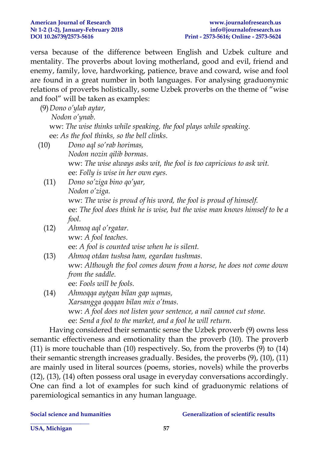versa because of the difference between English and Uzbek culture and mentality. The proverbs about loving motherland, good and evil, friend and enemy, family, love, hardworking, patience, brave and coward, wise and fool are found in a great number in both languages. For analysing graduonymic relations of proverbs holistically, some Uzbek proverbs on the theme of "wise and fool" will be taken as examples:

(9)*Dono o'ylab aytar,*

*Nodon o'ynab.*

ww: *The wise thinks while speaking, the fool plays while speaking.* ee: *As the fool thinks, so the bell clinks.*

- (10) *Dono aql so'rab horimas, Nodon nozin qilib bormas.* ww: *The wise always asks wit, the fool is too capricious to ask wit.*  ee: *Folly is wise in her own eyes.*
	- (11) *Dono so'ziga bino qo'yar, Nodon o'ziga.* ww: *The wise is proud of his word, the fool is proud of himself.* ee: *The fool does think he is wise, but the wise man knows himself to be a fool.*
	- (12) *Ahmoq aql o'rgatar.* ww: *A fool teaches.* ee: *A fool is counted wise when he is silent.*
	- (13) *Ahmoq otdan tushsa ham, egardan tushmas.* ww: *Although the fool comes down from a horse, he does not come down from the saddle.* ee: *Fools will be fools.*
	- (14) *Ahmoqqa aytgan bilan gap uqmas, Xarsangga qoqqan bilan mix o'tmas.* ww: *A fool does not listen your sentence, a nail cannot cut stone.* ee: *Send a fool to the market, and a fool he will return.*

Having considered their semantic sense the Uzbek proverb (9) owns less semantic effectiveness and emotionality than the proverb (10). The proverb (11) is more touchable than (10) respectively. So, from the proverbs (9) to (14) their semantic strength increases gradually. Besides, the proverbs (9), (10), (11) are mainly used in literal sources (poems, stories, novels) while the proverbs (12), (13), (14) often possess oral usage in everyday conversations accordingly. One can find a lot of examples for such kind of graduonymic relations of paremiological semantics in any human language.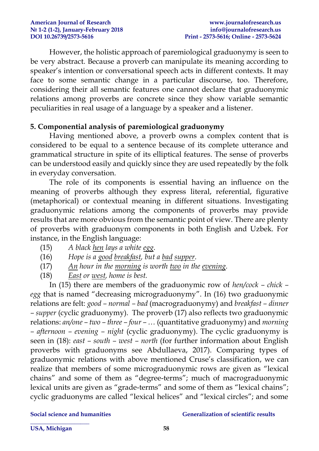However, the holistic approach of paremiological graduonymy is seen to be very abstract. Because a proverb can manipulate its meaning according to speaker's intention or conversational speech acts in different contexts. It may face to some semantic change in a particular discourse, too. Therefore, considering their all semantic features one cannot declare that graduonymic relations among proverbs are concrete since they show variable semantic peculiarities in real usage of a language by a speaker and a listener.

### **5. Componential analysis of paremiological graduonymy**

Having mentioned above, a proverb owns a complex content that is considered to be equal to a sentence because of its complete utterance and grammatical structure in spite of its elliptical features. The sense of proverbs can be understood easily and quickly since they are used repeatedly by the folk in everyday conversation.

The role of its components is essential having an influence on the meaning of proverbs although they express literal, referential, figurative (metaphorical) or contextual meaning in different situations. Investigating graduonymic relations among the components of proverbs may provide results that are more obvious from the semantic point of view. There are plenty of proverbs with graduonym components in both English and Uzbek. For instance, in the English language:

- (15) *A black hen lays a white egg.*
- (16) *Hope is a good breakfast, but a bad supper.*
- (17) *An hour in the morning is worth two in the evening.*
- (18) *East or west, home is best.*

In (15) there are members of the graduonymic row of *hen/cock – chick – egg* that is named "decreasing micrograduonymy". In (16) two graduonymic relations are felt: *good – normal – bad* (macrograduonymy) and *breakfast – dinner – supper* (cyclic graduonymy). The proverb (17) also reflects two graduonymic relations: *an/one – two – three – four – …* (quantitative graduonymy) and *morning – afternoon – evening – night* (cyclic graduonymy). The cyclic graduonymy is seen in (18): *east – south – west – north* (for further information about English proverbs with graduonyms see Abdullaeva, 2017). Comparing types of graduonymic relations with above mentioned Cruse's classification, we can realize that members of some micrograduonymic rows are given as "lexical chains" and some of them as "degree-terms"; much of macrograduonymic lexical units are given as "grade-terms" and some of them as "lexical chains"; cyclic graduonyms are called "lexical helices" and "lexical circles"; and some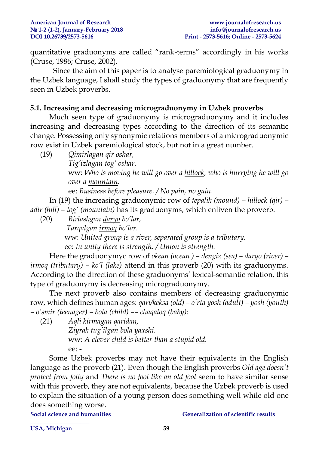quantitative graduonyms are called "rank-terms" accordingly in his works (Cruse, 1986; Cruse, 2002).

Since the aim of this paper is to analyse paremiological graduonymy in the Uzbek language, I shall study the types of graduonymy that are frequently seen in Uzbek proverbs.

### **5.1. Increasing and decreasing micrograduonymy in Uzbek proverbs**

Much seen type of graduonymy is micrograduonymy and it includes increasing and decreasing types according to the direction of its semantic change. Possessing only synonymic relations members of a micrograduonymic row exist in Uzbek paremiological stock, but not in a great number.

(19) *Qimirlagan qir oshar,* 

*Tig'izlagan tog' oshar.*

ww: *Who is moving he will go over a hillock, who is hurrying he will go over a mountain.*

ee: *Business before pleasure. / No pain, no gain*.

In (19) the increasing graduonymic row of *tepalik (mound) – hillock (qir) – adir (hill) – tog' (mountain)* has its graduonyms, which enliven the proverb.

(20) *Birlashgan daryo bo'lar, Tarqalgan irmoq bo'lar.* 

> ww: *United group is a river, separated group is a tributary.*  ee: *In unity there is strength. / Union is strength.*

Here the graduonymyc row of *okean (ocean ) – dengiz (sea) – daryo (river) – irmoq (tributary) – ko'l (lake)* attend in this proverb (20) with its graduonyms. According to the direction of these graduonyms' lexical-semantic relation, this type of graduonymy is decreasing micrograduonymy.

The next proverb also contains members of decreasing graduonymic row, which defines human ages: *qari/keksa (old) – o'rta yosh (adult) – yosh (youth) – o'smir (teenager) – bola (child) –– chaqaloq (baby)*:

(21) *Aqli kirmagan qaridan,*

*Ziyrak tug'ilgan bola yaxshi.* ww: *A clever child is better than a stupid old.* ee: -

Some Uzbek proverbs may not have their equivalents in the English language as the proverb (21). Even though the English proverbs *Old age doesn't protect from folly* and *There is no fool like an old fool* seem to have similar sense with this proverb, they are not equivalents, because the Uzbek proverb is used to explain the situation of a young person does something well while old one does something worse.

**\_\_\_\_\_\_\_\_\_\_\_\_\_\_\_\_\_\_\_\_** 

**Social science and humanities Generalization of scientific results**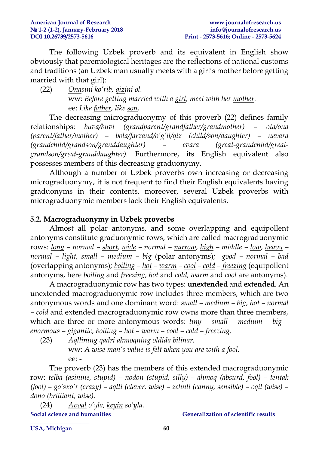The following Uzbek proverb and its equivalent in English show obviously that paremiological heritages are the reflections of national customs and traditions (an Uzbek man usually meets with a girl's mother before getting married with that girl):

(22) *Onasini ko'rib, qizini ol.*  ww: *Before getting married with a girl, meet with her mother.* ee: *Like father, like son.*

The decreasing micrograduonymy of this proverb (22) defines family relationships: *buva/buvi (grandparent/grandfather/grandmother) – ota/ona (parent/father/mother) – bola/farzand/o'g'il/qiz (child/son/daughter) – nevara (grandchild/grandson/granddaughter) – evara (great-grandchild/greatgrandson/great-granddaughter).* Furthermore, its English equivalent also possesses members of this decreasing graduonymy.

Although a number of Uzbek proverbs own increasing or decreasing micrograduonymy, it is not frequent to find their English equivalents having graduonyms in their contents, moreover, several Uzbek proverbs with micrograduonymic members lack their English equivalents.

# **5.2. Macrograduonymy in Uzbek proverbs**

Almost all polar antonyms, and some overlapping and equipollent antonyms constitute graduonymic rows, which are called macrograduonymic rows: *long – normal – short, wide – normal – narrow, high – middle – low, heavy – normal – light, small – medium – big* (polar antonyms)*; good – normal – bad* (overlapping antonyms)*; boiling – hot – warm – cool – cold – freezing* (equipollent antonyms, here *boiling* and *freezing, hot* and *cold, warm* and *cool* are antonyms).

A macrograduonymic row has two types: **unextended** and **extended**. An unextended macrograduonymic row includes three members, which are two antonymous words and one dominant word: *small – medium – big, hot – normal – cold* and extended macrograduonymic row owns more than three members, which are three or more antonymous words: *tiny – small – medium – big – enormous – gigantic, boiling – hot – warm – cool – cold – freezing*.

(23) *Aqllining qadri ahmoqning oldida bilinar.* ww: *A wise man's value is felt when you are with a fool.* ee: -

The proverb (23) has the members of this extended macrograduonymic row: *telba (asinine, stupid) – nodon (stupid, silly) – ahmoq (absurd, fool) – tentak (fool) – go'sxo'r (crazy) – aqlli (clever, wise) – zehnli (canny, sensible) – oqil (wise) – dono (brilliant, wise)*.

**Social science and humanities Generalization of scientific results** (24) *Avval o'yla, keyin so'yla.*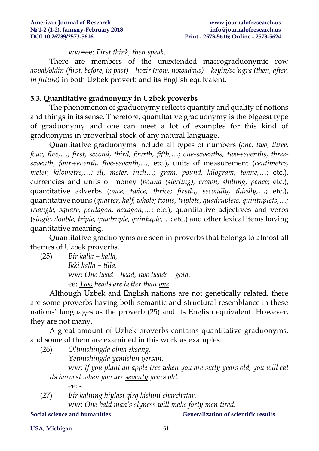ww=ee: *First think, then speak.*

There are members of the unextended macrograduonymic row *avval/oldin (first, before, in past) – hozir (now, nowadays) – keyin/so'ngra (then, after, in future)* in both Uzbek proverb and its English equivalent.

## **5.3. Quantitative graduonymy in Uzbek proverbs**

The phenomenon of graduonymy reflects quantity and quality of notions and things in its sense. Therefore, quantitative graduonymy is the biggest type of graduonymy and one can meet a lot of examples for this kind of graduonyms in proverbial stock of any natural language.

Quantitative graduonyms include all types of numbers (*one, two, three, four, five,…; first, second, third, fourth, fifth,…; one-sevenths, two-sevenths, threeseventh, four-seventh, five-seventh,…*; etc.), units of measurement (*centimetre, meter, kilometre,…; ell, meter, inch…; gram, pound, kilogram, tonne,…*; etc.), currencies and units of money (*pound (sterling), crown, shilling, pence*; etc.), quantitative adverbs (*once, twice, thrice; firstly, secondly, thirdly,…*; etc.), quantitative nouns (*quarter, half, whole; twins, triplets, quadruplets, quintuplets,…; triangle, square, pentagon, hexagon,…*; etc.), quantitative adjectives and verbs (*single, double, triple, quadruple, quintuple,…*; etc.) and other lexical items having quantitative meaning.

Quantitative graduonyms are seen in proverbs that belongs to almost all themes of Uzbek proverbs.

(25) *Bir kalla – kalla, Ikki kalla – tilla.* ww: *One head – head, two heads – gold.* ee: *Two heads are better than one.*

Although Uzbek and English nations are not genetically related, there are some proverbs having both semantic and structural resemblance in these nations' languages as the proverb (25) and its English equivalent. However, they are not many.

A great amount of Uzbek proverbs contains quantitative graduonyms, and some of them are examined in this work as examples:

(26) *Oltmishingda olma eksang,*

*Yetmishingda yemishin yersan.*

ww: *If you plant an apple tree when you are sixty years old, you will eat its harvest when you are seventy years old.*

ee: -

**\_\_\_\_\_\_\_\_\_\_\_\_\_\_\_\_\_\_\_\_** 

(27) *Bir kalning hiylasi qirq kishini charchatar.* ww: *One bald man's slyness will make forty men tired.* 

**Social science and humanities Generalization of scientific results**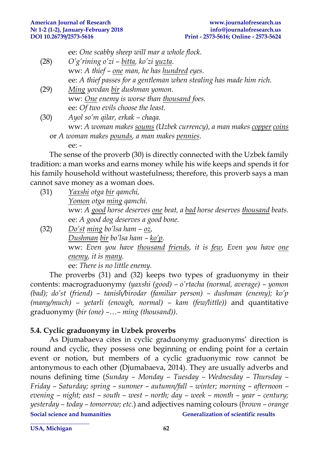ee: *One scabby sheep will mar a whole flock.*

- (28) *O'g'rining o'zi – bitta, ko'zi yuzta.* ww: *A thief – one man, he has hundred eyes.* ee: *A thief passes for a gentleman when stealing has made him rich.*
- (29) *Ming yovdan bir dushman yomon.* ww: *One enemy is worse than thousand foes.* ee: *Of two evils choose the least.*

(30) *Ayol so'm qilar, erkak – chaqa.* ww: *A woman makes soums (Uzbek currency), a man makes copper coins*

or *A woman makes pounds, a man makes pennies*. ee: -

The sense of the proverb (30) is directly connected with the Uzbek family tradition: a man works and earns money while his wife keeps and spends it for his family household without wastefulness; therefore, this proverb says a man cannot save money as a woman does.

- (31) *Yaxshi otga bir qamchi, Yomon otga ming qamchi.* ww: *A good horse deserves one beat, a bad horse deserves thousand beats.* ee: *A good dog deserves a good bone.* (32) *Do'st ming bo'lsa ham – oz,*
- *Dushman bir bo'lsa ham – ko'p.* ww: *Even you have thousand friends, it is few, Even you have one enemy, it is many.* ee: *There is no little enemy.*

The proverbs (31) and (32) keeps two types of graduonymy in their contents: macrograduonymy *(yaxshi (good) – o'rtacha (normal, average) – yomon (bad); do'st (friend) – tanish/birodar (familiar person) – dushman (enemy); ko'p (many/much) – yetarli (enough, normal) – kam (few/little))* and quantitative graduonymy (*bir (one) –…– ming (thousand))*.

# **5.4. Cyclic graduonymy in Uzbek proverbs**

**\_\_\_\_\_\_\_\_\_\_\_\_\_\_\_\_\_\_\_\_** 

**Social science and humanities Generalization of scientific results** As Djumabaeva cites in cyclic graduonymy graduonyms' direction is round and cyclic, they possess one beginning or ending point for a certain event or notion, but members of a cyclic graduonymic row cannot be antonymous to each other (Djumabaeva, 2014). They are usually adverbs and nouns defining time (*Sunday – Monday – Tuesday – Wednesday – Thursday – Friday – Saturday; spring – summer – autumn/fall – winter; morning – afternoon – evening – night; east – south – west – north; day – week – month – year – century; yesterday – today – tomorrow; etc.*) and adjectives naming colours (*brown – orange*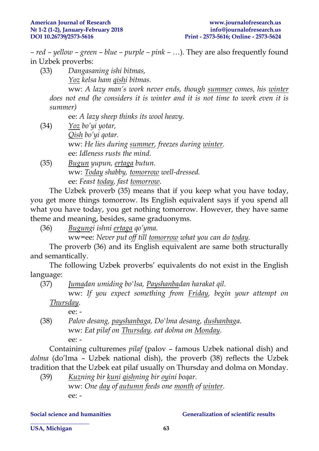*– red – yellow – green – blue – purple – pink – …*). They are also frequently found in Uzbek proverbs:

(33) *Dangasaning ishi bitmas, Yoz kelsa ham qishi bitmas.* ww: *A lazy man's work never ends, though summer comes, his winter does not end (he considers it is winter and it is not time to work even it is summer)*

ee: *A lazy sheep thinks its wool heavy.*

- (34) *Yoz bo'yi yotar, Qish bo'yi qotar.*  ww: *He lies during summer, freezes during winter.* ee: *Idleness rusts the mind.*
- (35) *Bugun yupun, ertaga butun.* ww: *Today shabby, tomorrow well-dressed.* ee: *Feast today, fast tomorrow.*

The Uzbek proverb (35) means that if you keep what you have today, you get more things tomorrow. Its English equivalent says if you spend all what you have today, you get nothing tomorrow. However, they have same theme and meaning, besides, same graduonyms.

(36) *Bugungi ishni ertaga qo'yma.*

ww=ee: *Never put off till tomorrow what you can do today.*

The proverb (36) and its English equivalent are same both structurally and semantically.

The following Uzbek proverbs' equivalents do not exist in the English language:

(37) *Jumadan umiding bo'lsa, Payshanbadan harakat qil.*

ww: *If you expect something from Friday, begin your attempt on Thursday.*

ee: -

(38) *Palov desang, payshanbaga, Do'lma desang, dushanbaga.* ww: *Eat pilaf on Thursday, eat dolma on Monday.* ee: -

Containing culturemes *pilaf* (palov – famous Uzbek national dish) and *dolma* (do'lma – Uzbek national dish), the proverb (38) reflects the Uzbek tradition that the Uzbek eat pilaf usually on Thursday and dolma on Monday.

(39) *Kuzning bir kuni qishning bir oyini boqar.* ww: *One day of autumn feeds one month of winter.*  ee: -

**\_\_\_\_\_\_\_\_\_\_\_\_\_\_\_\_\_\_\_\_** 

#### **Social science and humanities Generalization of scientific results**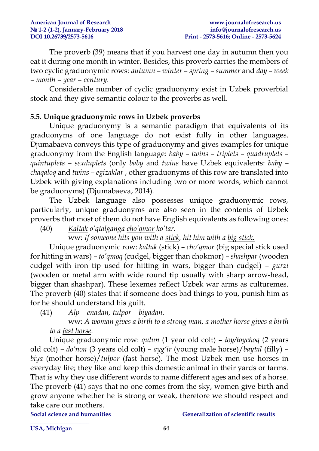The proverb (39) means that if you harvest one day in autumn then you eat it during one month in winter. Besides, this proverb carries the members of two cyclic graduonymic rows: *autumn – winter – spring – summer* and *day – week – month – year – century.* 

Considerable number of cyclic graduonymy exist in Uzbek proverbial stock and they give semantic colour to the proverbs as well.

# **5.5. Unique graduonymic rows in Uzbek proverbs**

Unique graduonymy is a semantic paradigm that equivalents of its graduonyms of one language do not exist fully in other languages. Djumabaeva conveys this type of graduonymy and gives examples for unique graduonymy from the English language: *baby – twins – triplets – quadruplets – quintuplets – sexduplets* (only *baby* and *twins* have Uzbek equivalents: *baby – chaqaloq* and *twins – egizaklar* , other graduonyms of this row are translated into Uzbek with giving explanations including two or more words, which cannot be graduonyms) (Djumabaeva, 2014).

The Uzbek language also possesses unique graduonymic rows, particularly, unique graduonyms are also seen in the contents of Uzbek proverbs that most of them do not have English equivalents as following ones:

(40) *Kaltak o'qtalganga cho'qmor ko'tar.*

ww: *If someone hits you with a stick, hit him with a big stick.*

Unique graduonymic row: *kaltak* (stick) – *cho'qmor* (big special stick used for hitting in wars) – *to'qmoq* (cudgel, bigger than chokmor) – *shashpar* (wooden cudgel with iron tip used for hitting in wars, bigger than cudgel) – *gurzi* (wooden or metal arm with wide round tip usually with sharp arrow-head, bigger than shashpar). These lexemes reflect Uzbek war arms as culturemes. The proverb (40) states that if someone does bad things to you, punish him as for he should understand his guilt.

(41) *Alp – enadan, tulpor – biyadan.*

ww: *A woman gives a birth to a strong man, a mother horse gives a birth to a fast horse.*

Unique graduonymic row: *qulun* (1 year old colt) – *toy/toychoq* (2 years old colt) – *do'non* (3 years old colt) – *ayg'ir* (young male horse)/*baytal* (filly) – *biya* (mother horse)/*tulpor* (fast horse). The most Uzbek men use horses in everyday life; they like and keep this domestic animal in their yards or farms. That is why they use different words to name different ages and sex of a horse. The proverb (41) says that no one comes from the sky, women give birth and grow anyone whether he is strong or weak, therefore we should respect and take care our mothers.

**\_\_\_\_\_\_\_\_\_\_\_\_\_\_\_\_\_\_\_\_** 

#### **Social science and humanities Generalization of scientific results**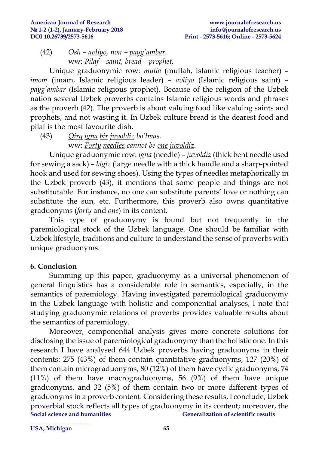$(42)$  *Osh – avliyo, non – payg'ambar.* ww: *Pilaf – saint, bread – prophet.*

Unique graduonymic row: *mulla* (mullah, Islamic religious teacher) – *imom* (imam, Islamic religious leader) – *avliyo* (Islamic religious saint) – *payg'ambar* (Islamic religious prophet). Because of the religion of the Uzbek nation several Uzbek proverbs contains Islamic religious words and phrases as the proverb (42). The proverb is about valuing food like valuing saints and prophets, and not wasting it. In Uzbek culture bread is the dearest food and pilaf is the most favourite dish.

(43) *Qirq igna bir juvoldiz bo'lmas.* ww: *Forty needles cannot be one juvoldiz.*

Unique graduonymic row: *igna* (needle) – *juvoldiz* (thick bent needle used for sewing a sack) – *bigiz* (large needle with a thick handle and a sharp-pointed hook and used for sewing shoes). Using the types of needles metaphorically in the Uzbek proverb (43), it mentions that some people and things are not substitutable. For instance, no one can substitute parents' love or nothing can substitute the sun, etc. Furthermore, this proverb also owns quantitative graduonyms (*forty* and *one*) in its content.

This type of graduonymy is found but not frequently in the paremiological stock of the Uzbek language. One should be familiar with Uzbek lifestyle, traditions and culture to understand the sense of proverbs with unique graduonyms.

### **6. Conclusion**

Summing up this paper, graduonymy as a universal phenomenon of general linguistics has a considerable role in semantics, especially, in the semantics of paremiology. Having investigated paremiological graduonymy in the Uzbek language with holistic and componential analyses, I note that studying graduonymic relations of proverbs provides valuable results about the semantics of paremiology.

**Social science and humanities Generalization of scientific results \_\_\_\_\_\_\_\_\_\_\_\_\_\_\_\_\_\_\_\_**  Moreover, componential analysis gives more concrete solutions for disclosing the issue of paremiological graduonymy than the holistic one. In this research I have analysed 644 Uzbek proverbs having graduonyms in their contents: 275 (43%) of them contain quantitative graduonyms, 127 (20%) of them contain micrograduonyms, 80 (12%) of them have cyclic graduonyms, 74 (11%) of them have macrograduonyms, 56 (9%) of them have unique graduonyms, and 32 (5%) of them contain two or more different types of graduonyms in a proverb content. Considering these results, I conclude, Uzbek proverbial stock reflects all types of graduonymy in its content; moreover, the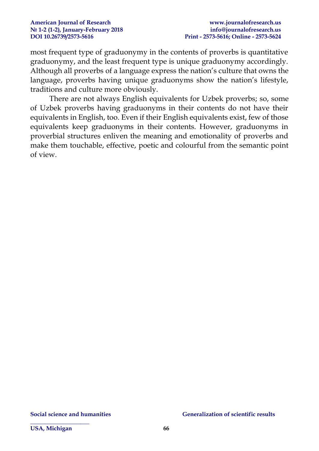most frequent type of graduonymy in the contents of proverbs is quantitative graduonymy, and the least frequent type is unique graduonymy accordingly. Although all proverbs of a language express the nation's culture that owns the language, proverbs having unique graduonyms show the nation's lifestyle, traditions and culture more obviously.

There are not always English equivalents for Uzbek proverbs; so, some of Uzbek proverbs having graduonyms in their contents do not have their equivalents in English, too. Even if their English equivalents exist, few of those equivalents keep graduonyms in their contents. However, graduonyms in proverbial structures enliven the meaning and emotionality of proverbs and make them touchable, effective, poetic and colourful from the semantic point of view.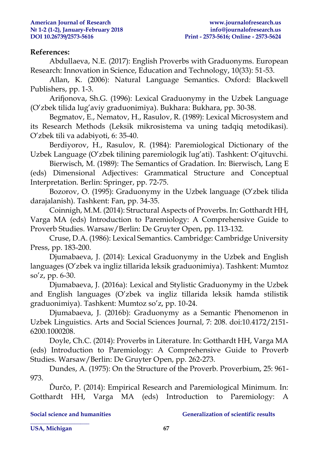#### **References:**

Abdullaeva, N.E. (2017): English Proverbs with Graduonyms. European Research: Innovation in Science, Education and Technology, 10(33): 51-53.

Allan, K. (2006): Natural Language Semantics. Oxford: Blackwell Publishers, pp. 1-3.

Arifjonova, Sh.G. (1996): Lexical Graduonymy in the Uzbek Language (O'zbek tilida lug'aviy graduonimiya). Bukhara: Bukhara, pp. 30-38.

Begmatov, E., Nematov, H., Rasulov, R. (1989): Lexical Microsystem and its Research Methods (Leksik mikrosistema va uning tadqiq metodikasi). O'zbek tili va adabiyoti, 6: 35-40.

Berdiyorov, H., Rasulov, R. (1984): Paremiological Dictionary of the Uzbek Language (O'zbek tilining paremiologik lug'ati). Tashkent: O'qituvchi.

Bierwisch, M. (1989): The Semantics of Gradation. In: Bierwisch, Lang E (eds) Dimensional Adjectives: Grammatical Structure and Conceptual Interpretation. Berlin: Springer, pp. 72-75.

Bozorov, O. (1995): Graduonymy in the Uzbek language (O'zbek tilida darajalanish). Tashkent: Fan, pp. 34-35.

Coinnigh, M.M. (2014): Structural Aspects of Proverbs. In: Gotthardt HH, Varga MA (eds) Introduction to Paremiology: A Comprehensive Guide to Proverb Studies. Warsaw/Berlin: De Gruyter Open, pp. 113-132.

Cruse, D.A. (1986): Lexical Semantics. Cambridge: Cambridge University Press, pp. 183-200.

Djumabaeva, J. (2014): Lexical Graduonymy in the Uzbek and English languages (O'zbek va ingliz tillarida leksik graduonimiya). Tashkent: Mumtoz so'z, pp. 6-30.

Djumabaeva, J. (2016a): Lexical and Stylistic Graduonymy in the Uzbek and English languages (O'zbek va ingliz tillarida leksik hamda stilistik graduonimiya). Tashkent: Mumtoz so'z, pp. 10-24.

Djumabaeva, J. (2016b): Graduonymy as a Semantic Phenomenon in Uzbek Linguistics. Arts and Social Sciences Journal, 7: 208. doi:10.4172/2151- 6200.1000208.

Doyle, Ch.C. (2014): Proverbs in Literature. In: Gotthardt HH, Varga MA (eds) Introduction to Paremiology: A Comprehensive Guide to Proverb Studies. Warsaw/Berlin: De Gruyter Open, pp. 262-273.

Dundes, A. (1975): On the Structure of the Proverb. Proverbium, 25: 961- 973.

Ďurčo, P. (2014): Empirical Research and Paremiological Minimum. In: Gotthardt HH, Varga MA (eds) Introduction to Paremiology: A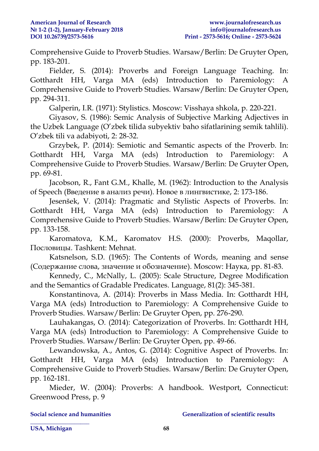Comprehensive Guide to Proverb Studies. Warsaw/Berlin: De Gruyter Open, pp. 183-201.

Fielder, S. (2014): Proverbs and Foreign Language Teaching. In: Gotthardt HH, Varga MA (eds) Introduction to Paremiology: A Comprehensive Guide to Proverb Studies. Warsaw/Berlin: De Gruyter Open, pp. 294-311.

Galperin, I.R. (1971): Stylistics. Moscow: Visshaya shkola, p. 220-221.

Giyasov, S. (1986): Semic Analysis of Subjective Marking Adjectives in the Uzbek Language (O'zbek tilida subyektiv baho sifatlarining semik tahlili). O'zbek tili va adabiyoti, 2: 28-32.

Grzybek, P. (2014): Semiotic and Semantic aspects of the Proverb. In: Gotthardt HH, Varga MA (eds) Introduction to Paremiology: A Comprehensive Guide to Proverb Studies. Warsaw/Berlin: De Gruyter Open, pp. 69-81.

Jacobson, R., Fant G.M., Khalle, M. (1962): Introduction to the Analysis of Speech (Введение в анализ речи). Новое в лингвистике, 2: 173-186.

Jesenšek, V. (2014): Pragmatic and Stylistic Aspects of Proverbs. In: Gotthardt HH, Varga MA (eds) Introduction to Paremiology: A Comprehensive Guide to Proverb Studies. Warsaw/Berlin: De Gruyter Open, pp. 133-158.

Karomatova, K.M., Karomatov H.S. (2000): Proverbs, Maqollar, Пословицы. Tashkent: Mehnat.

Katsnelson, S.D. (1965): The Contents of Words, meaning and sense (Содержание слова, значение и обозначение). Moscow: Наука, pp. 81-83.

Kennedy, C., McNally, L. (2005): Scale Structure, Degree Modification and the Semantics of Gradable Predicates. Language, 81(2): 345-381.

Konstantinova, A. (2014): Proverbs in Mass Media. In: Gotthardt HH, Varga MA (eds) Introduction to Paremiology: A Comprehensive Guide to Proverb Studies. Warsaw/Berlin: De Gruyter Open, pp. 276-290.

Lauhakangas, O. (2014): Categorization of Proverbs. In: Gotthardt HH, Varga MA (eds) Introduction to Paremiology: A Comprehensive Guide to Proverb Studies. Warsaw/Berlin: De Gruyter Open, pp. 49-66.

Lewandowska, A., Antos, G. (2014): Cognitive Aspect of Proverbs. In: Gotthardt HH, Varga MA (eds) Introduction to Paremiology: A Comprehensive Guide to Proverb Studies. Warsaw/Berlin: De Gruyter Open, pp. 162-181.

Mieder, W. (2004): Proverbs: A handbook. Westport, Connecticut: Greenwood Press, p. 9